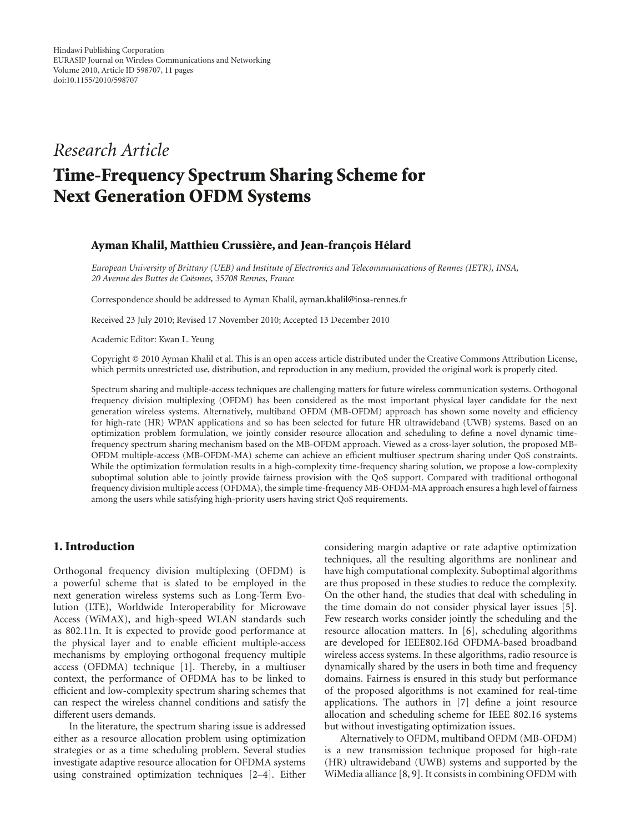## *Research Article*

# **Time-Frequency Spectrum Sharing Scheme for Next Generation OFDM Systems**

## **Ayman Khalil, Matthieu Crussière, and Jean-françois Hélard**

*European University of Brittany (UEB) and Institute of Electronics and Telecommunications of Rennes (IETR), INSA, 20 Avenue des Buttes de Co¨esmes, 35708 Rennes, France*

Correspondence should be addressed to Ayman Khalil, ayman.khalil@insa-rennes.fr

Received 23 July 2010; Revised 17 November 2010; Accepted 13 December 2010

Academic Editor: Kwan L. Yeung

Copyright © 2010 Ayman Khalil et al. This is an open access article distributed under the Creative Commons Attribution License, which permits unrestricted use, distribution, and reproduction in any medium, provided the original work is properly cited.

Spectrum sharing and multiple-access techniques are challenging matters for future wireless communication systems. Orthogonal frequency division multiplexing (OFDM) has been considered as the most important physical layer candidate for the next generation wireless systems. Alternatively, multiband OFDM (MB-OFDM) approach has shown some novelty and efficiency for high-rate (HR) WPAN applications and so has been selected for future HR ultrawideband (UWB) systems. Based on an optimization problem formulation, we jointly consider resource allocation and scheduling to define a novel dynamic timefrequency spectrum sharing mechanism based on the MB-OFDM approach. Viewed as a cross-layer solution, the proposed MB-OFDM multiple-access (MB-OFDM-MA) scheme can achieve an efficient multiuser spectrum sharing under QoS constraints. While the optimization formulation results in a high-complexity time-frequency sharing solution, we propose a low-complexity suboptimal solution able to jointly provide fairness provision with the QoS support. Compared with traditional orthogonal frequency division multiple access (OFDMA), the simple time-frequency MB-OFDM-MA approach ensures a high level of fairness among the users while satisfying high-priority users having strict QoS requirements.

## **1. Introduction**

Orthogonal frequency division multiplexing (OFDM) is a powerful scheme that is slated to be employed in the next generation wireless systems such as Long-Term Evolution (LTE), Worldwide Interoperability for Microwave Access (WiMAX), and high-speed WLAN standards such as 802.11n. It is expected to provide good performance at the physical layer and to enable efficient multiple-access mechanisms by employing orthogonal frequency multiple access (OFDMA) technique [1]. Thereby, in a multiuser context, the performance of OFDMA has to be linked to efficient and low-complexity spectrum sharing schemes that can respect the wireless channel conditions and satisfy the different users demands.

In the literature, the spectrum sharing issue is addressed either as a resource allocation problem using optimization strategies or as a time scheduling problem. Several studies investigate adaptive resource allocation for OFDMA systems using constrained optimization techniques [2–4]. Either

considering margin adaptive or rate adaptive optimization techniques, all the resulting algorithms are nonlinear and have high computational complexity. Suboptimal algorithms are thus proposed in these studies to reduce the complexity. On the other hand, the studies that deal with scheduling in the time domain do not consider physical layer issues [5]. Few research works consider jointly the scheduling and the resource allocation matters. In [6], scheduling algorithms are developed for IEEE802.16d OFDMA-based broadband wireless access systems. In these algorithms, radio resource is dynamically shared by the users in both time and frequency domains. Fairness is ensured in this study but performance of the proposed algorithms is not examined for real-time applications. The authors in [7] define a joint resource allocation and scheduling scheme for IEEE 802.16 systems but without investigating optimization issues.

Alternatively to OFDM, multiband OFDM (MB-OFDM) is a new transmission technique proposed for high-rate (HR) ultrawideband (UWB) systems and supported by the WiMedia alliance [8, 9]. It consists in combining OFDM with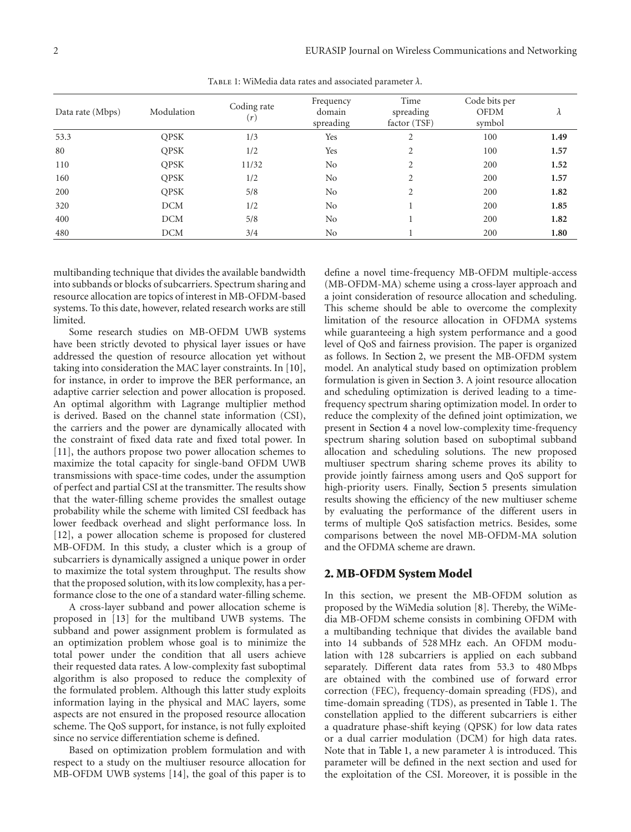| Data rate (Mbps) | Modulation  | Coding rate<br>(r) | Frequency<br>domain<br>spreading | Time<br>spreading<br>factor (TSF) | Code bits per<br><b>OFDM</b><br>symbol | $\lambda$ |
|------------------|-------------|--------------------|----------------------------------|-----------------------------------|----------------------------------------|-----------|
| 53.3             | <b>OPSK</b> | 1/3                | Yes                              | 2                                 | 100                                    | 1.49      |
| 80               | <b>QPSK</b> | 1/2                | Yes                              | $\overline{c}$                    | 100                                    | 1.57      |
| 110              | <b>OPSK</b> | 11/32              | No                               | $\overline{c}$                    | 200                                    | 1.52      |
| 160              | <b>QPSK</b> | 1/2                | No                               | 2                                 | 200                                    | 1.57      |
| 200              | <b>QPSK</b> | 5/8                | No                               | $\overline{c}$                    | 200                                    | 1.82      |
| 320              | <b>DCM</b>  | 1/2                | N <sub>o</sub>                   |                                   | 200                                    | 1.85      |
| 400              | <b>DCM</b>  | 5/8                | No                               |                                   | 200                                    | 1.82      |
| 480              | <b>DCM</b>  | 3/4                | No                               |                                   | 200                                    | 1.80      |

Table 1: WiMedia data rates and associated parameter *λ*.

multibanding technique that divides the available bandwidth into subbands or blocks of subcarriers. Spectrum sharing and resource allocation are topics of interest in MB-OFDM-based systems. To this date, however, related research works are still limited.

Some research studies on MB-OFDM UWB systems have been strictly devoted to physical layer issues or have addressed the question of resource allocation yet without taking into consideration the MAC layer constraints. In [10], for instance, in order to improve the BER performance, an adaptive carrier selection and power allocation is proposed. An optimal algorithm with Lagrange multiplier method is derived. Based on the channel state information (CSI), the carriers and the power are dynamically allocated with the constraint of fixed data rate and fixed total power. In [11], the authors propose two power allocation schemes to maximize the total capacity for single-band OFDM UWB transmissions with space-time codes, under the assumption of perfect and partial CSI at the transmitter. The results show that the water-filling scheme provides the smallest outage probability while the scheme with limited CSI feedback has lower feedback overhead and slight performance loss. In [12], a power allocation scheme is proposed for clustered MB-OFDM. In this study, a cluster which is a group of subcarriers is dynamically assigned a unique power in order to maximize the total system throughput. The results show that the proposed solution, with its low complexity, has a performance close to the one of a standard water-filling scheme.

A cross-layer subband and power allocation scheme is proposed in [13] for the multiband UWB systems. The subband and power assignment problem is formulated as an optimization problem whose goal is to minimize the total power under the condition that all users achieve their requested data rates. A low-complexity fast suboptimal algorithm is also proposed to reduce the complexity of the formulated problem. Although this latter study exploits information laying in the physical and MAC layers, some aspects are not ensured in the proposed resource allocation scheme. The QoS support, for instance, is not fully exploited since no service differentiation scheme is defined.

Based on optimization problem formulation and with respect to a study on the multiuser resource allocation for MB-OFDM UWB systems [14], the goal of this paper is to define a novel time-frequency MB-OFDM multiple-access (MB-OFDM-MA) scheme using a cross-layer approach and a joint consideration of resource allocation and scheduling. This scheme should be able to overcome the complexity limitation of the resource allocation in OFDMA systems while guaranteeing a high system performance and a good level of QoS and fairness provision. The paper is organized as follows. In Section 2, we present the MB-OFDM system model. An analytical study based on optimization problem formulation is given in Section 3. A joint resource allocation and scheduling optimization is derived leading to a timefrequency spectrum sharing optimization model. In order to reduce the complexity of the defined joint optimization, we present in Section 4 a novel low-complexity time-frequency spectrum sharing solution based on suboptimal subband allocation and scheduling solutions. The new proposed multiuser spectrum sharing scheme proves its ability to provide jointly fairness among users and QoS support for high-priority users. Finally, Section 5 presents simulation results showing the efficiency of the new multiuser scheme by evaluating the performance of the different users in terms of multiple QoS satisfaction metrics. Besides, some comparisons between the novel MB-OFDM-MA solution and the OFDMA scheme are drawn.

## **2. MB-OFDM System Model**

In this section, we present the MB-OFDM solution as proposed by the WiMedia solution [8]. Thereby, the WiMedia MB-OFDM scheme consists in combining OFDM with a multibanding technique that divides the available band into 14 subbands of 528 MHz each. An OFDM modulation with 128 subcarriers is applied on each subband separately. Different data rates from 53.3 to 480 Mbps are obtained with the combined use of forward error correction (FEC), frequency-domain spreading (FDS), and time-domain spreading (TDS), as presented in Table 1. The constellation applied to the different subcarriers is either a quadrature phase-shift keying (QPSK) for low data rates or a dual carrier modulation (DCM) for high data rates. Note that in Table 1, a new parameter  $\lambda$  is introduced. This parameter will be defined in the next section and used for the exploitation of the CSI. Moreover, it is possible in the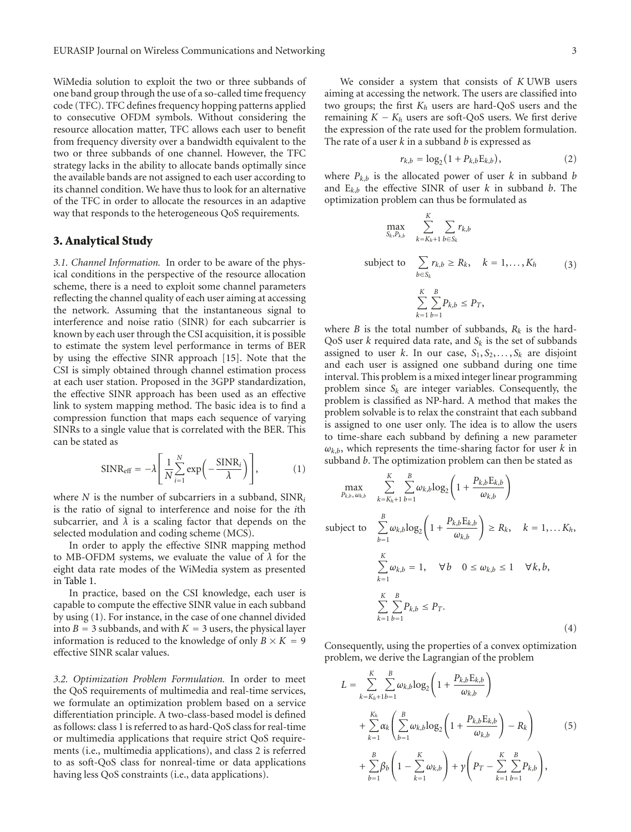WiMedia solution to exploit the two or three subbands of one band group through the use of a so-called time frequency code (TFC). TFC defines frequency hopping patterns applied to consecutive OFDM symbols. Without considering the resource allocation matter, TFC allows each user to benefit from frequency diversity over a bandwidth equivalent to the two or three subbands of one channel. However, the TFC strategy lacks in the ability to allocate bands optimally since the available bands are not assigned to each user according to its channel condition. We have thus to look for an alternative of the TFC in order to allocate the resources in an adaptive way that responds to the heterogeneous QoS requirements.

## **3. Analytical Study**

*3.1. Channel Information.* In order to be aware of the physical conditions in the perspective of the resource allocation scheme, there is a need to exploit some channel parameters reflecting the channel quality of each user aiming at accessing the network. Assuming that the instantaneous signal to interference and noise ratio (SINR) for each subcarrier is known by each user through the CSI acquisition, it is possible to estimate the system level performance in terms of BER by using the effective SINR approach [15]. Note that the CSI is simply obtained through channel estimation process at each user station. Proposed in the 3GPP standardization, the effective SINR approach has been used as an effective link to system mapping method. The basic idea is to find a compression function that maps each sequence of varying SINRs to a single value that is correlated with the BER. This can be stated as

$$
SINR_{\text{eff}} = -\lambda \left[ \frac{1}{N} \sum_{i=1}^{N} \exp \left( -\frac{SINR_i}{\lambda} \right) \right],
$$
 (1)

where *N* is the number of subcarriers in a subband, SINR*<sup>i</sup>* is the ratio of signal to interference and noise for the *i*th subcarrier, and  $\lambda$  is a scaling factor that depends on the selected modulation and coding scheme (MCS).

In order to apply the effective SINR mapping method to MB-OFDM systems, we evaluate the value of *λ* for the eight data rate modes of the WiMedia system as presented in Table 1.

In practice, based on the CSI knowledge, each user is capable to compute the effective SINR value in each subband by using (1). For instance, in the case of one channel divided into  $B = 3$  subbands, and with  $K = 3$  users, the physical layer information is reduced to the knowledge of only  $B \times K = 9$ effective SINR scalar values.

*3.2. Optimization Problem Formulation.* In order to meet the QoS requirements of multimedia and real-time services, we formulate an optimization problem based on a service differentiation principle. A two-class-based model is defined as follows: class 1 is referred to as hard-QoS class for real-time or multimedia applications that require strict QoS requirements (i.e., multimedia applications), and class 2 is referred to as soft-QoS class for nonreal-time or data applications having less QoS constraints (i.e., data applications).

We consider a system that consists of *K* UWB users aiming at accessing the network. The users are classified into two groups; the first *Kh* users are hard-QoS users and the remaining  $K - K_h$  users are soft-QoS users. We first derive the expression of the rate used for the problem formulation. The rate of a user *k* in a subband *b* is expressed as

$$
r_{k,b} = \log_2(1 + P_{k,b} \mathcal{E}_{k,b}), \tag{2}
$$

where  $P_{k,b}$  is the allocated power of user  $k$  in subband  $b$ and E*k*,*<sup>b</sup>* the effective SINR of user *k* in subband *b*. The optimization problem can thus be formulated as

$$
\max_{S_k, P_{k,b}} \sum_{k=K_h+1}^{K} \sum_{b \in S_k} r_{k,b}
$$
\nsubject to 
$$
\sum_{b \in S_k} r_{k,b} \ge R_k, \quad k = 1, ..., K_h
$$
\n
$$
\sum_{k=1}^{K} \sum_{b=1}^{B} P_{k,b} \le P_T,
$$
\nis the total number of subbands,  $R_k$  is the hard-

where *B* is QoS user *k* required data rate, and *Sk* is the set of subbands assigned to user *k*. In our case,  $S_1, S_2, \ldots, S_k$  are disjoint and each user is assigned one subband during one time interval. This problem is a mixed integer linear programming problem since  $S_k$  are integer variables. Consequently, the problem is classified as NP-hard. A method that makes the problem solvable is to relax the constraint that each subband is assigned to one user only. The idea is to allow the users to time-share each subband by defining a new parameter  $\omega_{k,b}$ , which represents the time-sharing factor for user *k* in subband *b*. The optimization problem can then be stated as

$$
\max_{P_{k,b}, \omega_{k,b}} \quad \sum_{k=K_h+1}^{K} \sum_{b=1}^{B} \omega_{k,b} \log_2 \left(1 + \frac{P_{k,b} E_{k,b}}{\omega_{k,b}}\right)
$$

subject to 
$$
\sum_{b=1}^{B} \omega_{k,b} \log_2 \left( 1 + \frac{P_{k,b} E_{k,b}}{\omega_{k,b}} \right) \ge R_k, \quad k = 1,... K_h,
$$

$$
\sum_{k=1}^{K} \omega_{k,b} = 1, \quad \forall b \quad 0 \le \omega_{k,b} \le 1 \quad \forall k, b,
$$

$$
\sum_{k=1}^{K} \sum_{b=1}^{B} P_{k,b} \le P_T.
$$
(4)

Consequently, using the properties of a convex optimization problem, we derive the Lagrangian of the problem

$$
L = \sum_{k=K_h+1}^{K} \sum_{b=1}^{B} \omega_{k,b} \log_2 \left( 1 + \frac{P_{k,b} E_{k,b}}{\omega_{k,b}} \right)
$$
  
+ 
$$
\sum_{k=1}^{K_h} \alpha_k \left( \sum_{b=1}^{B} \omega_{k,b} \log_2 \left( 1 + \frac{P_{k,b} E_{k,b}}{\omega_{k,b}} \right) - R_k \right)
$$
  
+ 
$$
\sum_{b=1}^{B} \beta_b \left( 1 - \sum_{k=1}^{K} \omega_{k,b} \right) + \gamma \left( P_T - \sum_{k=1}^{K} \sum_{b=1}^{B} P_{k,b} \right),
$$
 (5)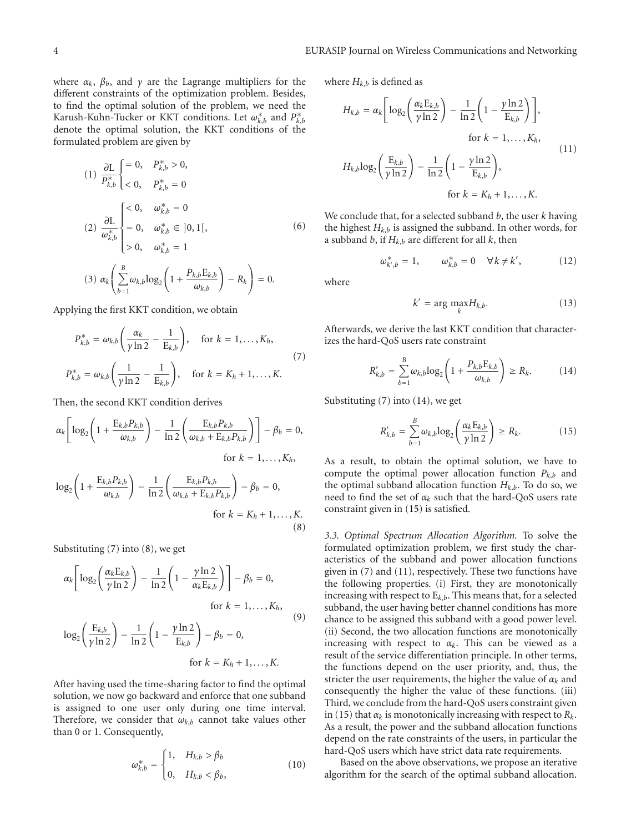where  $\alpha_k$ ,  $\beta_b$ , and  $\gamma$  are the Lagrange multipliers for the different constraints of the optimization problem. Besides, to find the optimal solution of the problem, we need the Karush-Kuhn-Tucker or KKT conditions. Let  $\omega_{k,b}^*$  and  $P_{k,b}^*$ denote the optimal solution, the KKT conditions of the formulated problem are given by

(1) 
$$
\frac{\partial L}{P_{k,b}^{*}}\begin{cases} = 0, & P_{k,b}^{*} > 0, \\ < 0, & P_{k,b}^{*} = 0 \end{cases}
$$
  
\n(2)  $\frac{\partial L}{\omega_{k,b}^{*}}\begin{cases} < 0, & \omega_{k,b}^{*} = 0 \\ = 0, & \omega_{k,b}^{*} \in ]0,1[, \\ > 0, & \omega_{k,b}^{*} = 1 \end{cases}$   
\n(3)  $\alpha_{k} \left( \sum_{b=1}^{B} \omega_{k,b} \log_{2} \left( 1 + \frac{P_{k,b} E_{k,b}}{\omega_{k,b}} \right) - R_{k} \right) = 0.$ 

Applying the first KKT condition, we obtain

$$
P_{k,b}^{*} = \omega_{k,b} \left( \frac{\alpha_k}{\gamma \ln 2} - \frac{1}{E_{k,b}} \right), \quad \text{for } k = 1, ..., K_h,
$$
  

$$
P_{k,b}^{*} = \omega_{k,b} \left( \frac{1}{\gamma \ln 2} - \frac{1}{E_{k,b}} \right), \quad \text{for } k = K_h + 1, ..., K.
$$
 (7)

Then, the second KKT condition derives

$$
\alpha_k \left[ \log_2 \left( 1 + \frac{\mathcal{E}_{k,b} P_{k,b}}{\omega_{k,b}} \right) - \frac{1}{\ln 2} \left( \frac{\mathcal{E}_{k,b} P_{k,b}}{\omega_{k,b} + \mathcal{E}_{k,b} P_{k,b}} \right) \right] - \beta_b = 0,
$$
  
for  $k = 1, ..., K_h$ ,

$$
\log_2\left(1 + \frac{E_{k,b}P_{k,b}}{\omega_{k,b}}\right) - \frac{1}{\ln 2}\left(\frac{E_{k,b}P_{k,b}}{\omega_{k,b} + E_{k,b}P_{k,b}}\right) - \beta_b = 0,
$$
  
for  $k = K_h + 1, ..., K$ . (8)

Substituting (7) into (8), we get

$$
\alpha_k \left[ \log_2 \left( \frac{\alpha_k E_{k,b}}{\gamma \ln 2} \right) - \frac{1}{\ln 2} \left( 1 - \frac{\gamma \ln 2}{\alpha_k E_{k,b}} \right) \right] - \beta_b = 0,
$$
  
for  $k = 1,..., K_h$ ,  

$$
\log_2 \left( \frac{E_{k,b}}{\gamma \ln 2} \right) - \frac{1}{\ln 2} \left( 1 - \frac{\gamma \ln 2}{E_{k,b}} \right) - \beta_b = 0,
$$
  
for  $k = K_h + 1,..., K$ .  
(9)

After having used the time-sharing factor to find the optimal solution, we now go backward and enforce that one subband is assigned to one user only during one time interval. Therefore, we consider that  $\omega_{k,b}$  cannot take values other than 0 or 1. Consequently,

$$
\omega_{k,b}^* = \begin{cases} 1, & H_{k,b} > \beta_b \\ 0, & H_{k,b} < \beta_b, \end{cases}
$$
 (10)

where  $H_{k,b}$  is defined as

$$
H_{k,b} = \alpha_k \left[ \log_2 \left( \frac{\alpha_k E_{k,b}}{\gamma \ln 2} \right) - \frac{1}{\ln 2} \left( 1 - \frac{\gamma \ln 2}{E_{k,b}} \right) \right],
$$
  
for  $k = 1,..., K_h$ ,  

$$
H_{k,b} \log_2 \left( \frac{E_{k,b}}{\gamma \ln 2} \right) - \frac{1}{\ln 2} \left( 1 - \frac{\gamma \ln 2}{E_{k,b}} \right),
$$
  
for  $k = K_h + 1,..., K$ . (11)

We conclude that, for a selected subband *b*, the user *k* having the highest  $H_{k,b}$  is assigned the subband. In other words, for a subband *b*, if  $H_{k,b}$  are different for all *k*, then

$$
\omega_{k',b}^* = 1, \qquad \omega_{k,b}^* = 0 \quad \forall \, k \neq k', \tag{12}
$$

where

$$
k' = \arg\max_{k} H_{k,b}.
$$
 (13)

Afterwards, we derive the last KKT condition that characterizes the hard-QoS users rate constraint

$$
R'_{k,b} = \sum_{b=1}^{B} \omega_{k,b} \log_2 \left( 1 + \frac{P_{k,b} E_{k,b}}{\omega_{k,b}} \right) \ge R_k.
$$
 (14)

Substituting (7) into (14), we get

$$
R'_{k,b} = \sum_{b=1}^{B} \omega_{k,b} \log_2 \left( \frac{\alpha_k E_{k,b}}{\gamma \ln 2} \right) \ge R_k.
$$
 (15)

As a result, to obtain the optimal solution, we have to compute the optimal power allocation function *Pk*,*<sup>b</sup>* and the optimal subband allocation function  $H_{k,b}$ . To do so, we need to find the set of *αk* such that the hard-QoS users rate constraint given in (15) is satisfied.

*3.3. Optimal Spectrum Allocation Algorithm.* To solve the formulated optimization problem, we first study the characteristics of the subband and power allocation functions given in (7) and (11), respectively. These two functions have the following properties. (i) First, they are monotonically increasing with respect to E*<sup>k</sup>*,*<sup>b</sup>*. This means that, for a selected subband, the user having better channel conditions has more chance to be assigned this subband with a good power level. (ii) Second, the two allocation functions are monotonically increasing with respect to  $\alpha_k$ . This can be viewed as a result of the service differentiation principle. In other terms, the functions depend on the user priority, and, thus, the stricter the user requirements, the higher the value of  $\alpha_k$  and consequently the higher the value of these functions. (iii) Third, we conclude from the hard-QoS users constraint given in (15) that  $\alpha_k$  is monotonically increasing with respect to  $R_k$ . As a result, the power and the subband allocation functions depend on the rate constraints of the users, in particular the hard-QoS users which have strict data rate requirements.

Based on the above observations, we propose an iterative algorithm for the search of the optimal subband allocation.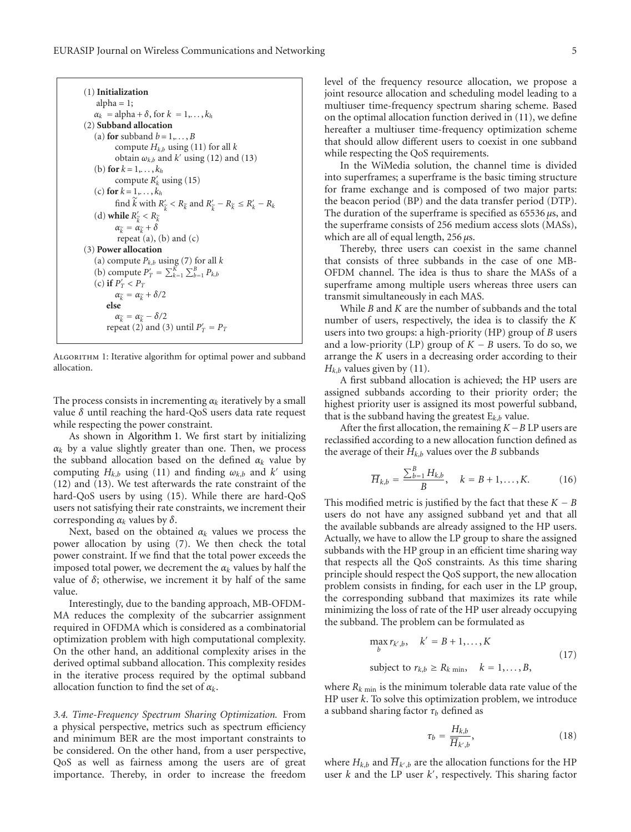| $(1)$ Initialization                                                                                     |  |  |  |  |
|----------------------------------------------------------------------------------------------------------|--|--|--|--|
| $alpha = 1$ ;                                                                                            |  |  |  |  |
| $\alpha_k = \text{alpha} + \delta$ , for $k = 1, \ldots, k_h$                                            |  |  |  |  |
| (2) Subband allocation                                                                                   |  |  |  |  |
| (a) for subband $b = 1, \ldots, B$                                                                       |  |  |  |  |
| compute $H_{k,h}$ using (11) for all k                                                                   |  |  |  |  |
| obtain $\omega_{k,b}$ and k' using (12) and (13)                                                         |  |  |  |  |
| (b) for $k = 1, \ldots, k_h$                                                                             |  |  |  |  |
| compute $R'_k$ using (15)                                                                                |  |  |  |  |
| (c) for $k = 1, \ldots, k_h$                                                                             |  |  |  |  |
| find $\hat{k}$ with $R_{\tilde{k}}' < R_{\tilde{k}}$ and $R_{\tilde{k}}' - R_{\tilde{k}} \le R_k' - R_k$ |  |  |  |  |
| (d) while $R_{\widetilde{\iota}} < R_{\widetilde{k}}$                                                    |  |  |  |  |
| $\alpha_{\widetilde{k}} = \alpha_{\widetilde{k}} + \delta$                                               |  |  |  |  |
| repeat $(a)$ , $(b)$ and $(c)$                                                                           |  |  |  |  |
| (3) Power allocation                                                                                     |  |  |  |  |
| (a) compute $P_{k,b}$ using (7) for all k                                                                |  |  |  |  |
| (b) compute $P'_T = \sum_{k=1}^K \sum_{h=1}^B P_{k,h}$                                                   |  |  |  |  |
| (c) if $P'_T < P_T$                                                                                      |  |  |  |  |
| $\alpha_{\widetilde{k}} = \alpha_{\widetilde{k}} + \delta/2$                                             |  |  |  |  |
| else                                                                                                     |  |  |  |  |
| $\alpha_{\widetilde{\iota}} = \alpha_{\widetilde{\iota}} - \delta/2$                                     |  |  |  |  |
| repeat (2) and (3) until $P'_T = P_T$                                                                    |  |  |  |  |

Algorithm 1: Iterative algorithm for optimal power and subband allocation.

The process consists in incrementing  $\alpha_k$  iteratively by a small value *δ* until reaching the hard-QoS users data rate request while respecting the power constraint.

As shown in Algorithm 1. We first start by initializing  $\alpha_k$  by a value slightly greater than one. Then, we process the subband allocation based on the defined  $\alpha_k$  value by computing  $H_{k,b}$  using (11) and finding  $\omega_{k,b}$  and  $k'$  using (12) and (13). We test afterwards the rate constraint of the hard-QoS users by using (15). While there are hard-QoS users not satisfying their rate constraints, we increment their corresponding  $\alpha_k$  values by  $\delta$ .

Next, based on the obtained  $\alpha_k$  values we process the power allocation by using (7). We then check the total power constraint. If we find that the total power exceeds the imposed total power, we decrement the  $\alpha_k$  values by half the value of  $\delta$ ; otherwise, we increment it by half of the same value.

Interestingly, due to the banding approach, MB-OFDM-MA reduces the complexity of the subcarrier assignment required in OFDMA which is considered as a combinatorial optimization problem with high computational complexity. On the other hand, an additional complexity arises in the derived optimal subband allocation. This complexity resides in the iterative process required by the optimal subband allocation function to find the set of *αk*.

*3.4. Time-Frequency Spectrum Sharing Optimization.* From a physical perspective, metrics such as spectrum efficiency and minimum BER are the most important constraints to be considered. On the other hand, from a user perspective, QoS as well as fairness among the users are of great importance. Thereby, in order to increase the freedom

level of the frequency resource allocation, we propose a joint resource allocation and scheduling model leading to a multiuser time-frequency spectrum sharing scheme. Based on the optimal allocation function derived in (11), we define hereafter a multiuser time-frequency optimization scheme that should allow different users to coexist in one subband while respecting the QoS requirements.

In the WiMedia solution, the channel time is divided into superframes; a superframe is the basic timing structure for frame exchange and is composed of two major parts: the beacon period (BP) and the data transfer period (DTP). The duration of the superframe is specified as 65536 *μ*s, and the superframe consists of 256 medium access slots (MASs), which are all of equal length, 256 *μ*s.

Thereby, three users can coexist in the same channel that consists of three subbands in the case of one MB-OFDM channel. The idea is thus to share the MASs of a superframe among multiple users whereas three users can transmit simultaneously in each MAS.

While *B* and *K* are the number of subbands and the total number of users, respectively, the idea is to classify the *K* users into two groups: a high-priority (HP) group of *B* users and a low-priority (LP) group of  $K - B$  users. To do so, we arrange the *K* users in a decreasing order according to their  $H_{k,b}$  values given by (11).

A first subband allocation is achieved; the HP users are assigned subbands according to their priority order; the highest priority user is assigned its most powerful subband, that is the subband having the greatest  $E_{k,b}$  value.

After the first allocation, the remaining *<sup>K</sup>*−*<sup>B</sup>* LP users are reclassified according to a new allocation function defined as the average of their  $H_{k,b}$  values over the *B* subbands

$$
\overline{H}_{k,b} = \frac{\sum_{b=1}^{B} H_{k,b}}{B}, \quad k = B+1, \dots, K. \tag{16}
$$

This modified metric is justified by the fact that these  $K - B$ users do not have any assigned subband yet and that all the available subbands are already assigned to the HP users. Actually, we have to allow the LP group to share the assigned subbands with the HP group in an efficient time sharing way that respects all the QoS constraints. As this time sharing principle should respect the QoS support, the new allocation problem consists in finding, for each user in the LP group, the corresponding subband that maximizes its rate while minimizing the loss of rate of the HP user already occupying the subband. The problem can be formulated as

$$
\max_{b} r_{k',b}, \quad k' = B + 1, \dots, K
$$
  
subject to  $r_{k,b} \ge R_{k \min}, \quad k = 1, \dots, B,$  (17)

where  $R_{k \text{ min}}$  is the minimum tolerable data rate value of the HP user *k*. To solve this optimization problem, we introduce a subband sharing factor  $\tau_b$  defined as

$$
\tau_b = \frac{H_{k,b}}{\overline{H}_{k',b}},\tag{18}
$$

where  $H_{k,b}$  and  $\overline{H}_{k',b}$  are the allocation functions for the HP user *k* and the LP user *k* , respectively. This sharing factor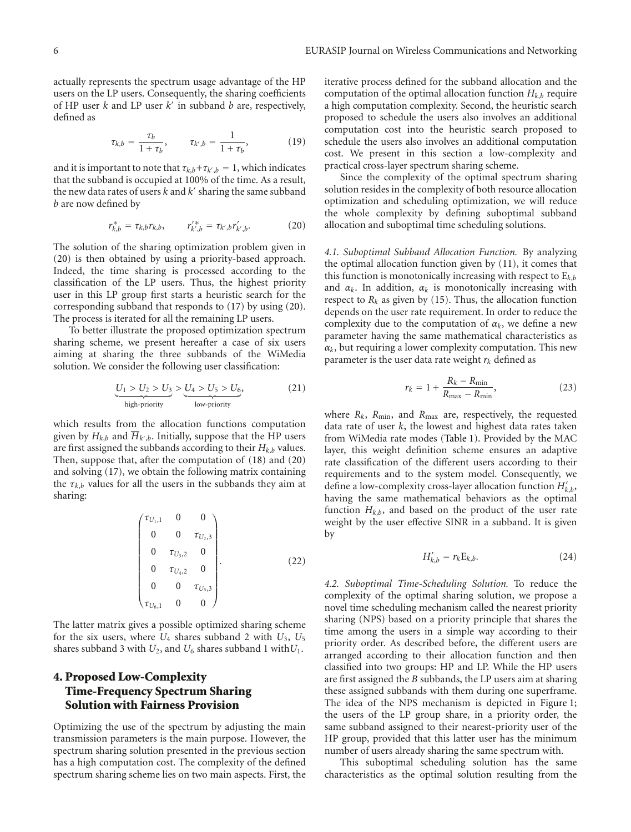actually represents the spectrum usage advantage of the HP users on the LP users. Consequently, the sharing coefficients of HP user *k* and LP user *k* in subband *b* are, respectively, defined as

$$
\tau_{k,b} = \frac{\tau_b}{1 + \tau_b}, \qquad \tau_{k',b} = \frac{1}{1 + \tau_b}, \tag{19}
$$

and it is important to note that  $\tau_{k,b} + \tau_{k',b} = 1$ , which indicates that the subband is occupied at 100% of the time. As a result, the new data rates of users  $k$  and  $k'$  sharing the same subband *b* are now defined by

$$
r_{k,b}^* = \tau_{k,b} r_{k,b}, \qquad r_{k',b}'^* = \tau_{k',b} r_{k',b}'. \qquad (20)
$$

The solution of the sharing optimization problem given in (20) is then obtained by using a priority-based approach. Indeed, the time sharing is processed according to the classification of the LP users. Thus, the highest priority user in this LP group first starts a heuristic search for the corresponding subband that responds to (17) by using (20). The process is iterated for all the remaining LP users.

To better illustrate the proposed optimization spectrum sharing scheme, we present hereafter a case of six users aiming at sharing the three subbands of the WiMedia solution. We consider the following user classification:

$$
\underbrace{U_1 > U_2 > U_3}_{\text{high-priority}} > \underbrace{U_4 > U_5 > U_6}_{\text{low-priority}},\tag{21}
$$

which results from the allocation functions computation given by  $H_{k,b}$  and  $\overline{H}_{k',b}$ . Initially, suppose that the HP users are first assigned the subbands according to their  $H_{k,b}$  values. Then, suppose that, after the computation of (18) and (20) and solving (17), we obtain the following matrix containing the  $\tau_{k,b}$  values for all the users in the subbands they aim at sharing:

$$
\begin{pmatrix} \tau_{U_1,1} & 0 & 0 \ 0 & 0 & \tau_{U_2,3} \\ 0 & 0 & \tau_{U_3,2} & 0 \\ 0 & \tau_{U_4,2} & 0 & 0 \\ 0 & 0 & \tau_{U_5,3} & 0 \\ \tau_{U_6,1} & 0 & 0 \end{pmatrix}.
$$
 (22)

The latter matrix gives a possible optimized sharing scheme for the six users, where  $U_4$  shares subband 2 with  $U_3$ ,  $U_5$ shares subband 3 with  $U_2$ , and  $U_6$  shares subband 1 with  $U_1$ .

## **4. Proposed Low-Complexity Time-Frequency Spectrum Sharing Solution with Fairness Provision**

Optimizing the use of the spectrum by adjusting the main transmission parameters is the main purpose. However, the spectrum sharing solution presented in the previous section has a high computation cost. The complexity of the defined spectrum sharing scheme lies on two main aspects. First, the

iterative process defined for the subband allocation and the computation of the optimal allocation function  $H_{k,h}$  require a high computation complexity. Second, the heuristic search proposed to schedule the users also involves an additional computation cost into the heuristic search proposed to schedule the users also involves an additional computation cost. We present in this section a low-complexity and practical cross-layer spectrum sharing scheme.

Since the complexity of the optimal spectrum sharing solution resides in the complexity of both resource allocation optimization and scheduling optimization, we will reduce the whole complexity by defining suboptimal subband allocation and suboptimal time scheduling solutions.

*4.1. Suboptimal Subband Allocation Function.* By analyzing the optimal allocation function given by (11), it comes that this function is monotonically increasing with respect to  $E_{k,b}$ and  $\alpha_k$ . In addition,  $\alpha_k$  is monotonically increasing with respect to  $R_k$  as given by (15). Thus, the allocation function depends on the user rate requirement. In order to reduce the complexity due to the computation of  $\alpha_k$ , we define a new parameter having the same mathematical characteristics as  $\alpha_k$ , but requiring a lower complexity computation. This new parameter is the user data rate weight  $r_k$  defined as

$$
r_k = 1 + \frac{R_k - R_{\min}}{R_{\max} - R_{\min}},\tag{23}
$$

where  $R_k$ ,  $R_{\text{min}}$ , and  $R_{\text{max}}$  are, respectively, the requested data rate of user *k*, the lowest and highest data rates taken from WiMedia rate modes (Table 1). Provided by the MAC layer, this weight definition scheme ensures an adaptive rate classification of the different users according to their requirements and to the system model. Consequently, we define a low-complexity cross-layer allocation function *H k*,*b*, having the same mathematical behaviors as the optimal function  $H_{k,b}$ , and based on the product of the user rate weight by the user effective SINR in a subband. It is given by

$$
H'_{k,b} = r_k \mathbf{E}_{k,b}.\tag{24}
$$

*4.2. Suboptimal Time-Scheduling Solution.* To reduce the complexity of the optimal sharing solution, we propose a novel time scheduling mechanism called the nearest priority sharing (NPS) based on a priority principle that shares the time among the users in a simple way according to their priority order. As described before, the different users are arranged according to their allocation function and then classified into two groups: HP and LP. While the HP users are first assigned the *B* subbands, the LP users aim at sharing these assigned subbands with them during one superframe. The idea of the NPS mechanism is depicted in Figure 1; the users of the LP group share, in a priority order, the same subband assigned to their nearest-priority user of the HP group, provided that this latter user has the minimum number of users already sharing the same spectrum with.

This suboptimal scheduling solution has the same characteristics as the optimal solution resulting from the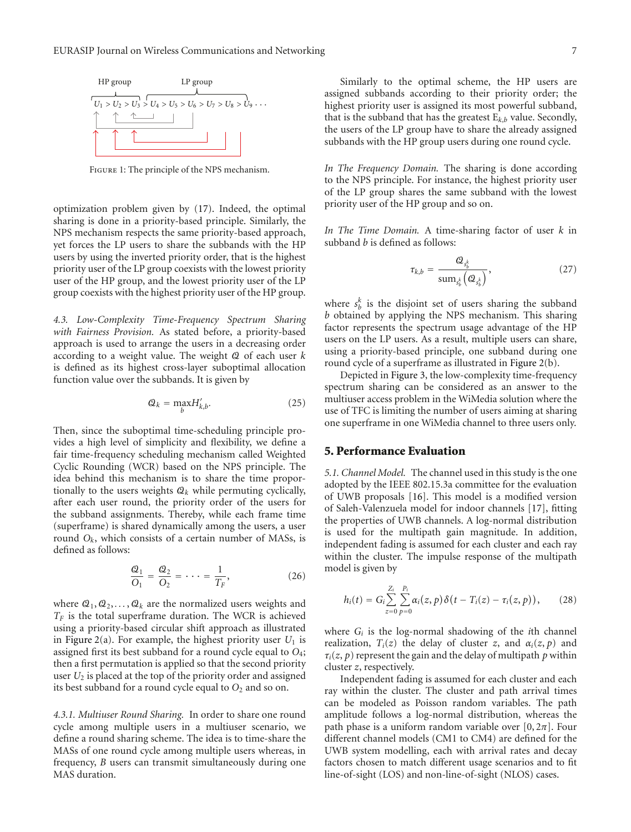

Figure 1: The principle of the NPS mechanism.

optimization problem given by (17). Indeed, the optimal sharing is done in a priority-based principle. Similarly, the NPS mechanism respects the same priority-based approach, yet forces the LP users to share the subbands with the HP users by using the inverted priority order, that is the highest priority user of the LP group coexists with the lowest priority user of the HP group, and the lowest priority user of the LP group coexists with the highest priority user of the HP group.

*4.3. Low-Complexity Time-Frequency Spectrum Sharing with Fairness Provision.* As stated before, a priority-based approach is used to arrange the users in a decreasing order according to a weight value. The weight Q of each user *k* is defined as its highest cross-layer suboptimal allocation function value over the subbands. It is given by

$$
\mathcal{Q}_k = \max_b H'_{k,b}.\tag{25}
$$

Then, since the suboptimal time-scheduling principle provides a high level of simplicity and flexibility, we define a fair time-frequency scheduling mechanism called Weighted Cyclic Rounding (WCR) based on the NPS principle. The idea behind this mechanism is to share the time proportionally to the users weights  $Q_k$  while permuting cyclically, after each user round, the priority order of the users for the subband assignments. Thereby, while each frame time (superframe) is shared dynamically among the users, a user round *Ok*, which consists of a certain number of MASs, is defined as follows:

$$
\frac{Q_1}{Q_1} = \frac{Q_2}{Q_2} = \dots = \frac{1}{T_F},
$$
\n(26)

where  $Q_1, Q_2, \ldots, Q_k$  are the normalized users weights and  $T_F$  is the total superframe duration. The WCR is achieved using a priority-based circular shift approach as illustrated in Figure 2(a). For example, the highest priority user  $U_1$  is assigned first its best subband for a round cycle equal to *O*4; then a first permutation is applied so that the second priority user *U*<sup>2</sup> is placed at the top of the priority order and assigned its best subband for a round cycle equal to  $O_2$  and so on.

*4.3.1. Multiuser Round Sharing.* In order to share one round cycle among multiple users in a multiuser scenario, we define a round sharing scheme. The idea is to time-share the MASs of one round cycle among multiple users whereas, in frequency, *B* users can transmit simultaneously during one MAS duration.

Similarly to the optimal scheme, the HP users are assigned subbands according to their priority order; the highest priority user is assigned its most powerful subband, that is the subband that has the greatest E*k*,*<sup>b</sup>* value. Secondly, the users of the LP group have to share the already assigned subbands with the HP group users during one round cycle.

*In The Frequency Domain.* The sharing is done according to the NPS principle. For instance, the highest priority user of the LP group shares the same subband with the lowest priority user of the HP group and so on.

*In The Time Domain.* A time-sharing factor of user *k* in subband *b* is defined as follows:

$$
\tau_{k,b} = \frac{Q_{s_b^k}}{\text{sum}_{s_b^k} \left(Q_{s_b^k}\right)},\tag{27}
$$

where  $s_h^k$  is the disjoint set of users sharing the subband *b* obtained by applying the NPS mechanism. This sharing factor represents the spectrum usage advantage of the HP users on the LP users. As a result, multiple users can share, using a priority-based principle, one subband during one round cycle of a superframe as illustrated in Figure 2(b).

Depicted in Figure 3, the low-complexity time-frequency spectrum sharing can be considered as an answer to the multiuser access problem in the WiMedia solution where the use of TFC is limiting the number of users aiming at sharing one superframe in one WiMedia channel to three users only.

## **5. Performance Evaluation**

*5.1. Channel Model.* The channel used in this study is the one adopted by the IEEE 802.15.3a committee for the evaluation of UWB proposals [16]. This model is a modified version of Saleh-Valenzuela model for indoor channels [17], fitting the properties of UWB channels. A log-normal distribution is used for the multipath gain magnitude. In addition, independent fading is assumed for each cluster and each ray within the cluster. The impulse response of the multipath model is given by

$$
h_i(t) = G_i \sum_{z=0}^{Z_i} \sum_{p=0}^{P_i} \alpha_i(z, p) \delta(t - T_i(z) - \tau_i(z, p)), \qquad (28)
$$

where *Gi* is the log-normal shadowing of the *i*th channel realization,  $T_i(z)$  the delay of cluster *z*, and  $\alpha_i(z, p)$  and  $\tau_i(z, p)$  represent the gain and the delay of multipath p within cluster *z*, respectively.

Independent fading is assumed for each cluster and each ray within the cluster. The cluster and path arrival times can be modeled as Poisson random variables. The path amplitude follows a log-normal distribution, whereas the path phase is a uniform random variable over  $[0, 2\pi]$ . Four different channel models (CM1 to CM4) are defined for the UWB system modelling, each with arrival rates and decay factors chosen to match different usage scenarios and to fit line-of-sight (LOS) and non-line-of-sight (NLOS) cases.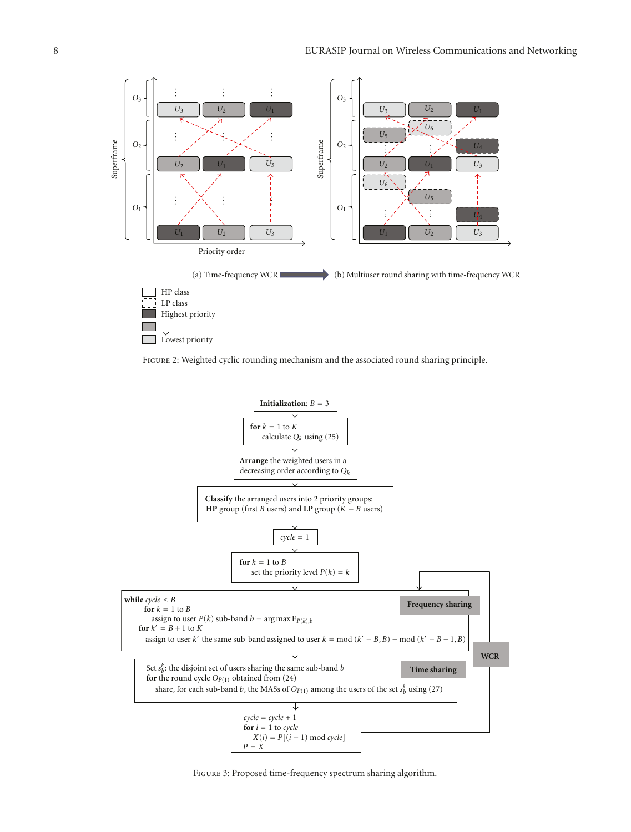

FIGURE 2: Weighted cyclic rounding mechanism and the associated round sharing principle.



Figure 3: Proposed time-frequency spectrum sharing algorithm.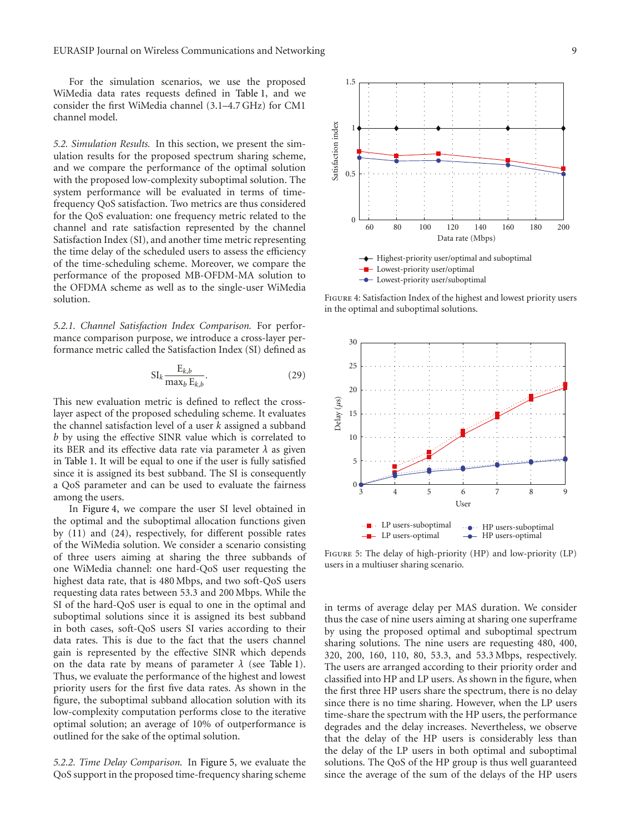For the simulation scenarios, we use the proposed WiMedia data rates requests defined in Table 1, and we consider the first WiMedia channel (3.1–4.7 GHz) for CM1 channel model.

*5.2. Simulation Results.* In this section, we present the simulation results for the proposed spectrum sharing scheme, and we compare the performance of the optimal solution with the proposed low-complexity suboptimal solution. The system performance will be evaluated in terms of timefrequency QoS satisfaction. Two metrics are thus considered for the QoS evaluation: one frequency metric related to the channel and rate satisfaction represented by the channel Satisfaction Index (SI), and another time metric representing the time delay of the scheduled users to assess the efficiency of the time-scheduling scheme. Moreover, we compare the performance of the proposed MB-OFDM-MA solution to the OFDMA scheme as well as to the single-user WiMedia solution.

*5.2.1. Channel Satisfaction Index Comparison.* For performance comparison purpose, we introduce a cross-layer performance metric called the Satisfaction Index (SI) defined as

$$
SI_k \frac{E_{k,b}}{\max_b E_{k,b}}.\tag{29}
$$

This new evaluation metric is defined to reflect the crosslayer aspect of the proposed scheduling scheme. It evaluates the channel satisfaction level of a user *k* assigned a subband *b* by using the effective SINR value which is correlated to its BER and its effective data rate via parameter *λ* as given in Table 1. It will be equal to one if the user is fully satisfied since it is assigned its best subband. The SI is consequently a QoS parameter and can be used to evaluate the fairness among the users.

In Figure 4, we compare the user SI level obtained in the optimal and the suboptimal allocation functions given by (11) and (24), respectively, for different possible rates of the WiMedia solution. We consider a scenario consisting of three users aiming at sharing the three subbands of one WiMedia channel: one hard-QoS user requesting the highest data rate, that is 480 Mbps, and two soft-QoS users requesting data rates between 53.3 and 200 Mbps. While the SI of the hard-QoS user is equal to one in the optimal and suboptimal solutions since it is assigned its best subband in both cases, soft-QoS users SI varies according to their data rates. This is due to the fact that the users channel gain is represented by the effective SINR which depends on the data rate by means of parameter  $\lambda$  (see Table 1). Thus, we evaluate the performance of the highest and lowest priority users for the first five data rates. As shown in the figure, the suboptimal subband allocation solution with its low-complexity computation performs close to the iterative optimal solution; an average of 10% of outperformance is outlined for the sake of the optimal solution.

*5.2.2. Time Delay Comparison.* In Figure 5, we evaluate the QoS support in the proposed time-frequency sharing scheme



Figure 4: Satisfaction Index of the highest and lowest priority users in the optimal and suboptimal solutions.



Figure 5: The delay of high-priority (HP) and low-priority (LP) users in a multiuser sharing scenario.

in terms of average delay per MAS duration. We consider thus the case of nine users aiming at sharing one superframe by using the proposed optimal and suboptimal spectrum sharing solutions. The nine users are requesting 480, 400, 320, 200, 160, 110, 80, 53.3, and 53.3 Mbps, respectively. The users are arranged according to their priority order and classified into HP and LP users. As shown in the figure, when the first three HP users share the spectrum, there is no delay since there is no time sharing. However, when the LP users time-share the spectrum with the HP users, the performance degrades and the delay increases. Nevertheless, we observe that the delay of the HP users is considerably less than the delay of the LP users in both optimal and suboptimal solutions. The QoS of the HP group is thus well guaranteed since the average of the sum of the delays of the HP users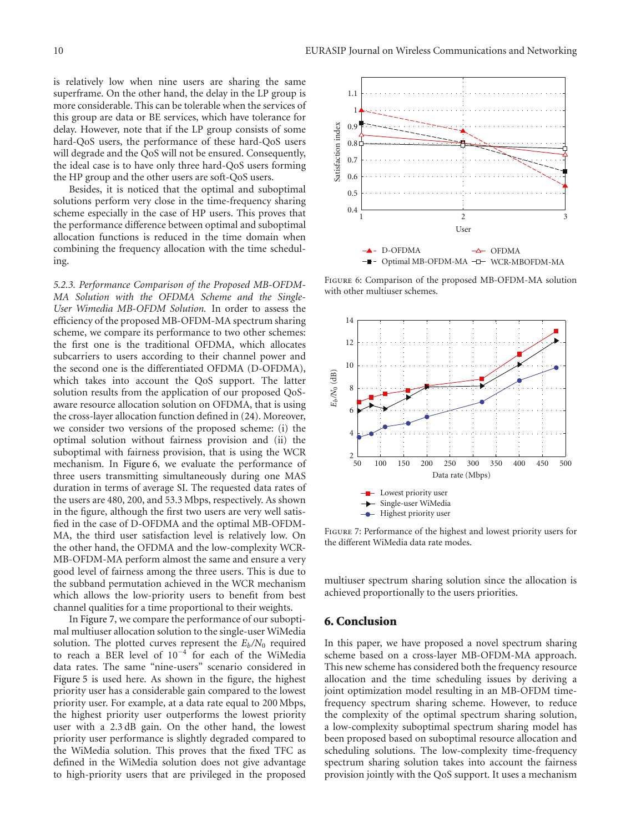is relatively low when nine users are sharing the same superframe. On the other hand, the delay in the LP group is more considerable. This can be tolerable when the services of this group are data or BE services, which have tolerance for delay. However, note that if the LP group consists of some hard-QoS users, the performance of these hard-QoS users will degrade and the QoS will not be ensured. Consequently, the ideal case is to have only three hard-QoS users forming the HP group and the other users are soft-QoS users.

Besides, it is noticed that the optimal and suboptimal solutions perform very close in the time-frequency sharing scheme especially in the case of HP users. This proves that the performance difference between optimal and suboptimal allocation functions is reduced in the time domain when combining the frequency allocation with the time scheduling.

*5.2.3. Performance Comparison of the Proposed MB-OFDM-MA Solution with the OFDMA Scheme and the Single-User Wimedia MB-OFDM Solution.* In order to assess the efficiency of the proposed MB-OFDM-MA spectrum sharing scheme, we compare its performance to two other schemes: the first one is the traditional OFDMA, which allocates subcarriers to users according to their channel power and the second one is the differentiated OFDMA (D-OFDMA), which takes into account the QoS support. The latter solution results from the application of our proposed QoSaware resource allocation solution on OFDMA, that is using the cross-layer allocation function defined in (24). Moreover, we consider two versions of the proposed scheme: (i) the optimal solution without fairness provision and (ii) the suboptimal with fairness provision, that is using the WCR mechanism. In Figure 6, we evaluate the performance of three users transmitting simultaneously during one MAS duration in terms of average SI. The requested data rates of the users are 480, 200, and 53.3 Mbps, respectively. As shown in the figure, although the first two users are very well satisfied in the case of D-OFDMA and the optimal MB-OFDM-MA, the third user satisfaction level is relatively low. On the other hand, the OFDMA and the low-complexity WCR-MB-OFDM-MA perform almost the same and ensure a very good level of fairness among the three users. This is due to the subband permutation achieved in the WCR mechanism which allows the low-priority users to benefit from best channel qualities for a time proportional to their weights.

In Figure 7, we compare the performance of our suboptimal multiuser allocation solution to the single-user WiMedia solution. The plotted curves represent the  $E_b/N_0$  required to reach a BER level of 10−<sup>4</sup> for each of the WiMedia data rates. The same "nine-users" scenario considered in Figure 5 is used here. As shown in the figure, the highest priority user has a considerable gain compared to the lowest priority user. For example, at a data rate equal to 200 Mbps, the highest priority user outperforms the lowest priority user with a 2.3 dB gain. On the other hand, the lowest priority user performance is slightly degraded compared to the WiMedia solution. This proves that the fixed TFC as defined in the WiMedia solution does not give advantage to high-priority users that are privileged in the proposed



Figure 6: Comparison of the proposed MB-OFDM-MA solution with other multiuser schemes.



Figure 7: Performance of the highest and lowest priority users for the different WiMedia data rate modes.

multiuser spectrum sharing solution since the allocation is achieved proportionally to the users priorities.

## **6. Conclusion**

In this paper, we have proposed a novel spectrum sharing scheme based on a cross-layer MB-OFDM-MA approach. This new scheme has considered both the frequency resource allocation and the time scheduling issues by deriving a joint optimization model resulting in an MB-OFDM timefrequency spectrum sharing scheme. However, to reduce the complexity of the optimal spectrum sharing solution, a low-complexity suboptimal spectrum sharing model has been proposed based on suboptimal resource allocation and scheduling solutions. The low-complexity time-frequency spectrum sharing solution takes into account the fairness provision jointly with the QoS support. It uses a mechanism